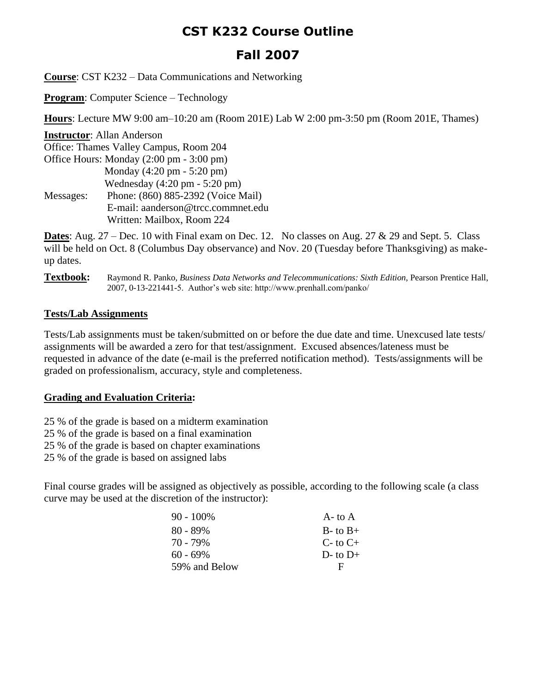## **CST K232 Course Outline**

# **Fall 2007**

**Course**: CST K232 – Data Communications and Networking

**Program**: Computer Science – Technology

**Hours**: Lecture MW 9:00 am–10:20 am (Room 201E) Lab W 2:00 pm-3:50 pm (Room 201E, Thames)

**Instructor**: Allan Anderson Office: Thames Valley Campus, Room 204 Office Hours: Monday (2:00 pm - 3:00 pm) Monday (4:20 pm - 5:20 pm) Wednesday (4:20 pm - 5:20 pm) Messages: Phone: (860) 885-2392 (Voice Mail) E-mail: aanderson@trcc.commnet.edu Written: Mailbox, Room 224

**Dates**: Aug. 27 – Dec. 10 with Final exam on Dec. 12. No classes on Aug. 27 & 29 and Sept. 5. Class will be held on Oct. 8 (Columbus Day observance) and Nov. 20 (Tuesday before Thanksgiving) as makeup dates.

#### **Textbook:** Raymond R. Panko, *Business Data Networks and Telecommunications: Sixth Edition*, Pearson Prentice Hall, 2007, 0-13-221441-5. Author's web site: http://www.prenhall.com/panko/

### **Tests/Lab Assignments**

Tests/Lab assignments must be taken/submitted on or before the due date and time. Unexcused late tests/ assignments will be awarded a zero for that test/assignment. Excused absences/lateness must be requested in advance of the date (e-mail is the preferred notification method). Tests/assignments will be graded on professionalism, accuracy, style and completeness.

## **Grading and Evaluation Criteria:**

25 % of the grade is based on a midterm examination

25 % of the grade is based on a final examination

25 % of the grade is based on chapter examinations

25 % of the grade is based on assigned labs

Final course grades will be assigned as objectively as possible, according to the following scale (a class curve may be used at the discretion of the instructor):

| $90 - 100\%$  | $A$ - to $A$   |
|---------------|----------------|
| $80 - 89\%$   | $B$ - to $B$ + |
| 70 - 79%      | $C$ - to $C$ + |
| $60 - 69\%$   | $D$ - to $D$ + |
| 59% and Below | Е              |